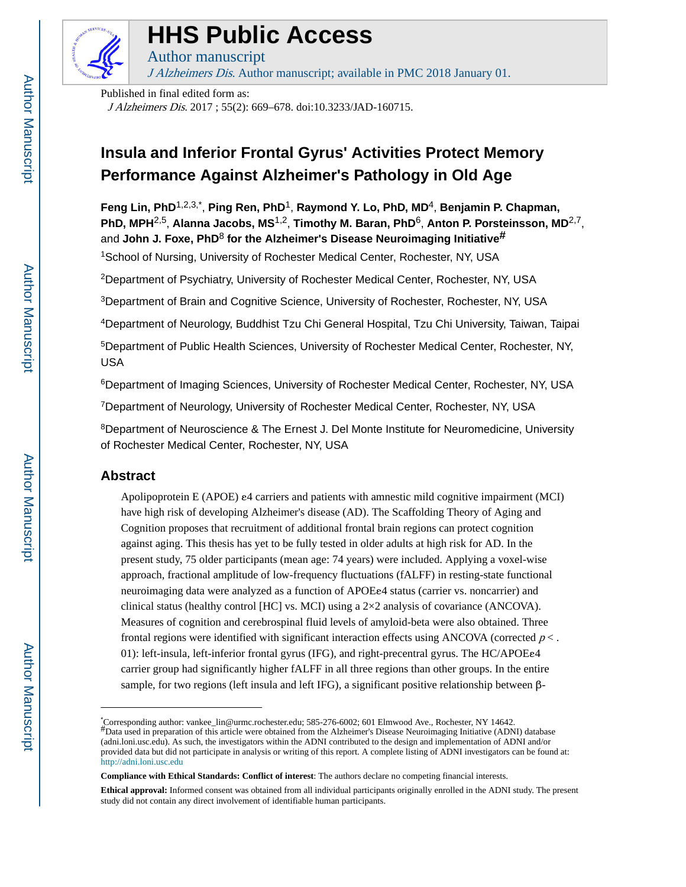

# **HHS Public Access**

J Alzheimers Dis. Author manuscript; available in PMC 2018 January 01.

Published in final edited form as: J Alzheimers Dis. 2017 ; 55(2): 669–678. doi:10.3233/JAD-160715.

Author manuscript

# **Insula and Inferior Frontal Gyrus' Activities Protect Memory Performance Against Alzheimer's Pathology in Old Age**

**Feng Lin, PhD**1,2,3,\* , **Ping Ren, PhD**1, **Raymond Y. Lo, PhD, MD**4, **Benjamin P. Chapman, PhD, MPH**2,5, **Alanna Jacobs, MS**1,2, **Timothy M. Baran, PhD**6, **Anton P. Porsteinsson, MD**2,7, and **John J. Foxe, PhD**<sup>8</sup> **for the Alzheimer's Disease Neuroimaging Initiative#**

<sup>1</sup>School of Nursing, University of Rochester Medical Center, Rochester, NY, USA

<sup>2</sup>Department of Psychiatry, University of Rochester Medical Center, Rochester, NY, USA

<sup>3</sup>Department of Brain and Cognitive Science, University of Rochester, Rochester, NY, USA

<sup>4</sup>Department of Neurology, Buddhist Tzu Chi General Hospital, Tzu Chi University, Taiwan, Taipai

<sup>5</sup>Department of Public Health Sciences, University of Rochester Medical Center, Rochester, NY, USA

<sup>6</sup>Department of Imaging Sciences, University of Rochester Medical Center, Rochester, NY, USA

<sup>7</sup>Department of Neurology, University of Rochester Medical Center, Rochester, NY, USA

<sup>8</sup>Department of Neuroscience & The Ernest J. Del Monte Institute for Neuromedicine, University of Rochester Medical Center, Rochester, NY, USA

# **Abstract**

Apolipoprotein E (APOE) ε4 carriers and patients with amnestic mild cognitive impairment (MCI) have high risk of developing Alzheimer's disease (AD). The Scaffolding Theory of Aging and Cognition proposes that recruitment of additional frontal brain regions can protect cognition against aging. This thesis has yet to be fully tested in older adults at high risk for AD. In the present study, 75 older participants (mean age: 74 years) were included. Applying a voxel-wise approach, fractional amplitude of low-frequency fluctuations (fALFF) in resting-state functional neuroimaging data were analyzed as a function of APOEε4 status (carrier vs. noncarrier) and clinical status (healthy control [HC] vs. MCI) using a  $2\times2$  analysis of covariance (ANCOVA). Measures of cognition and cerebrospinal fluid levels of amyloid-beta were also obtained. Three frontal regions were identified with significant interaction effects using ANCOVA (corrected  $p <$ . 01): left-insula, left-inferior frontal gyrus (IFG), and right-precentral gyrus. The HC/APOEε4 carrier group had significantly higher fALFF in all three regions than other groups. In the entire sample, for two regions (left insula and left IFG), a significant positive relationship between β-

<sup>\*</sup>Corresponding author: vankee\_lin@urmc.rochester.edu; 585-276-6002; 601 Elmwood Ave., Rochester, NY 14642.<br>#Data used in preparation of this article were obtained from the Alzheimer's Disease Neuroimaging Initiative (ADNI) (adni.loni.usc.edu). As such, the investigators within the ADNI contributed to the design and implementation of ADNI and/or provided data but did not participate in analysis or writing of this report. A complete listing of ADNI investigators can be found at: <http://adni.loni.usc.edu>

**Compliance with Ethical Standards: Conflict of interest**: The authors declare no competing financial interests.

**Ethical approval:** Informed consent was obtained from all individual participants originally enrolled in the ADNI study. The present study did not contain any direct involvement of identifiable human participants.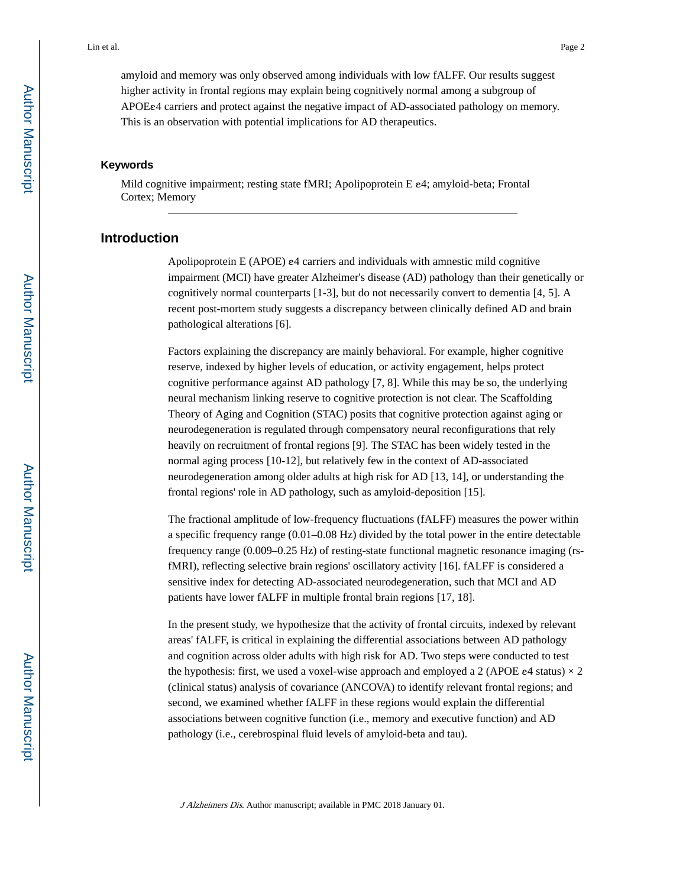amyloid and memory was only observed among individuals with low fALFF. Our results suggest higher activity in frontal regions may explain being cognitively normal among a subgroup of APOEε4 carriers and protect against the negative impact of AD-associated pathology on memory. This is an observation with potential implications for AD therapeutics.

# **Keywords**

Mild cognitive impairment; resting state fMRI; Apolipoprotein E ε4; amyloid-beta; Frontal Cortex; Memory

# **Introduction**

Apolipoprotein E (APOE) ε4 carriers and individuals with amnestic mild cognitive impairment (MCI) have greater Alzheimer's disease (AD) pathology than their genetically or cognitively normal counterparts [1-3], but do not necessarily convert to dementia [4, 5]. A recent post-mortem study suggests a discrepancy between clinically defined AD and brain pathological alterations [6].

Factors explaining the discrepancy are mainly behavioral. For example, higher cognitive reserve, indexed by higher levels of education, or activity engagement, helps protect cognitive performance against AD pathology [7, 8]. While this may be so, the underlying neural mechanism linking reserve to cognitive protection is not clear. The Scaffolding Theory of Aging and Cognition (STAC) posits that cognitive protection against aging or neurodegeneration is regulated through compensatory neural reconfigurations that rely heavily on recruitment of frontal regions [9]. The STAC has been widely tested in the normal aging process [10-12], but relatively few in the context of AD-associated neurodegeneration among older adults at high risk for AD [13, 14], or understanding the frontal regions' role in AD pathology, such as amyloid-deposition [15].

The fractional amplitude of low-frequency fluctuations (fALFF) measures the power within a specific frequency range (0.01–0.08 Hz) divided by the total power in the entire detectable frequency range (0.009–0.25 Hz) of resting-state functional magnetic resonance imaging (rsfMRI), reflecting selective brain regions' oscillatory activity [16]. fALFF is considered a sensitive index for detecting AD-associated neurodegeneration, such that MCI and AD patients have lower fALFF in multiple frontal brain regions [17, 18].

In the present study, we hypothesize that the activity of frontal circuits, indexed by relevant areas' fALFF, is critical in explaining the differential associations between AD pathology and cognition across older adults with high risk for AD. Two steps were conducted to test the hypothesis: first, we used a voxel-wise approach and employed a 2 (APOE  $e4$  status)  $\times 2$ (clinical status) analysis of covariance (ANCOVA) to identify relevant frontal regions; and second, we examined whether fALFF in these regions would explain the differential associations between cognitive function (i.e., memory and executive function) and AD pathology (i.e., cerebrospinal fluid levels of amyloid-beta and tau).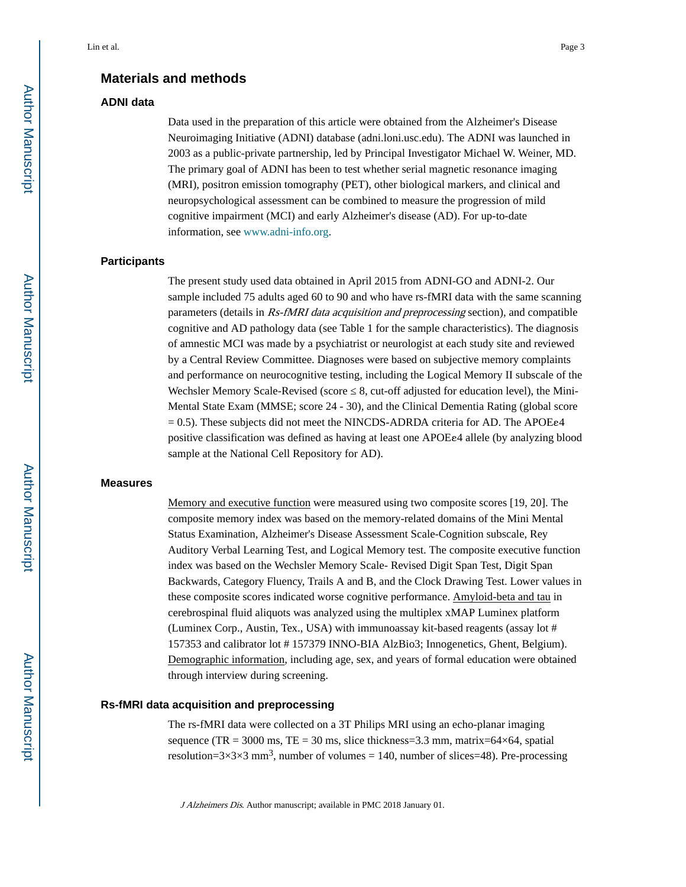# **Materials and methods**

# **ADNI data**

Data used in the preparation of this article were obtained from the Alzheimer's Disease Neuroimaging Initiative (ADNI) database (adni.loni.usc.edu). The ADNI was launched in 2003 as a public-private partnership, led by Principal Investigator Michael W. Weiner, MD. The primary goal of ADNI has been to test whether serial magnetic resonance imaging (MRI), positron emission tomography (PET), other biological markers, and clinical and neuropsychological assessment can be combined to measure the progression of mild cognitive impairment (MCI) and early Alzheimer's disease (AD). For up-to-date information, see [www.adni-info.org](http://www.adni-info.org).

#### **Participants**

The present study used data obtained in April 2015 from ADNI-GO and ADNI-2. Our sample included 75 adults aged 60 to 90 and who have rs-fMRI data with the same scanning parameters (details in Rs-fMRI data acquisition and preprocessing section), and compatible cognitive and AD pathology data (see Table 1 for the sample characteristics). The diagnosis of amnestic MCI was made by a psychiatrist or neurologist at each study site and reviewed by a Central Review Committee. Diagnoses were based on subjective memory complaints and performance on neurocognitive testing, including the Logical Memory II subscale of the Wechsler Memory Scale-Revised (score 8, cut-off adjusted for education level), the Mini-Mental State Exam (MMSE; score 24 - 30), and the Clinical Dementia Rating (global score  $= 0.5$ ). These subjects did not meet the NINCDS-ADRDA criteria for AD. The APOEe4 positive classification was defined as having at least one APOEε4 allele (by analyzing blood sample at the National Cell Repository for AD).

#### **Measures**

Memory and executive function were measured using two composite scores [19, 20]. The composite memory index was based on the memory-related domains of the Mini Mental Status Examination, Alzheimer's Disease Assessment Scale-Cognition subscale, Rey Auditory Verbal Learning Test, and Logical Memory test. The composite executive function index was based on the Wechsler Memory Scale- Revised Digit Span Test, Digit Span Backwards, Category Fluency, Trails A and B, and the Clock Drawing Test. Lower values in these composite scores indicated worse cognitive performance. Amyloid-beta and tau in cerebrospinal fluid aliquots was analyzed using the multiplex xMAP Luminex platform (Luminex Corp., Austin, Tex., USA) with immunoassay kit-based reagents (assay lot # 157353 and calibrator lot # 157379 INNO-BIA AlzBio3; Innogenetics, Ghent, Belgium). Demographic information, including age, sex, and years of formal education were obtained through interview during screening.

# **Rs-fMRI data acquisition and preprocessing**

The rs-fMRI data were collected on a 3T Philips MRI using an echo-planar imaging sequence (TR = 3000 ms, TE = 30 ms, slice thickness=3.3 mm, matrix= $64\times64$ , spatial resolution= $3\times3\times3$  mm<sup>3</sup>, number of volumes = 140, number of slices=48). Pre-processing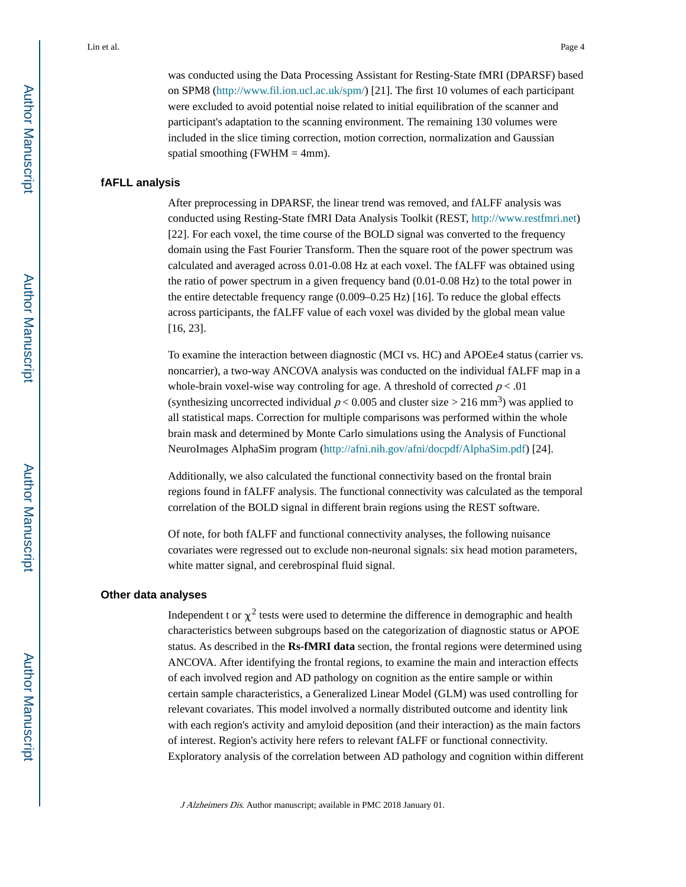was conducted using the Data Processing Assistant for Resting-State fMRI (DPARSF) based on SPM8 [\(http://www.fil.ion.ucl.ac.uk/spm/\)](http://www.fil.ion.ucl.ac.uk/spm/) [21]. The first 10 volumes of each participant were excluded to avoid potential noise related to initial equilibration of the scanner and participant's adaptation to the scanning environment. The remaining 130 volumes were included in the slice timing correction, motion correction, normalization and Gaussian spatial smoothing (FWHM  $=$  4mm).

#### **fAFLL analysis**

After preprocessing in DPARSF, the linear trend was removed, and fALFF analysis was conducted using Resting-State fMRI Data Analysis Toolkit (REST, [http://www.restfmri.net\)](http://www.restfmri.net) [22]. For each voxel, the time course of the BOLD signal was converted to the frequency domain using the Fast Fourier Transform. Then the square root of the power spectrum was calculated and averaged across 0.01-0.08 Hz at each voxel. The fALFF was obtained using the ratio of power spectrum in a given frequency band (0.01-0.08 Hz) to the total power in the entire detectable frequency range (0.009–0.25 Hz) [16]. To reduce the global effects across participants, the fALFF value of each voxel was divided by the global mean value [16, 23].

To examine the interaction between diagnostic (MCI vs. HC) and APOEε4 status (carrier vs. noncarrier), a two-way ANCOVA analysis was conducted on the individual fALFF map in a whole-brain voxel-wise way controling for age. A threshold of corrected  $p < .01$ (synthesizing uncorrected individual  $p < 0.005$  and cluster size > 216 mm<sup>3</sup>) was applied to all statistical maps. Correction for multiple comparisons was performed within the whole brain mask and determined by Monte Carlo simulations using the Analysis of Functional NeuroImages AlphaSim program [\(http://afni.nih.gov/afni/docpdf/AlphaSim.pdf](http://afni.nih.gov/afni/docpdf/AlphaSim.pdf)) [24].

Additionally, we also calculated the functional connectivity based on the frontal brain regions found in fALFF analysis. The functional connectivity was calculated as the temporal correlation of the BOLD signal in different brain regions using the REST software.

Of note, for both fALFF and functional connectivity analyses, the following nuisance covariates were regressed out to exclude non-neuronal signals: six head motion parameters, white matter signal, and cerebrospinal fluid signal.

#### **Other data analyses**

Independent t or  $\chi^2$  tests were used to determine the difference in demographic and health characteristics between subgroups based on the categorization of diagnostic status or APOE status. As described in the **Rs-fMRI data** section, the frontal regions were determined using ANCOVA. After identifying the frontal regions, to examine the main and interaction effects of each involved region and AD pathology on cognition as the entire sample or within certain sample characteristics, a Generalized Linear Model (GLM) was used controlling for relevant covariates. This model involved a normally distributed outcome and identity link with each region's activity and amyloid deposition (and their interaction) as the main factors of interest. Region's activity here refers to relevant fALFF or functional connectivity. Exploratory analysis of the correlation between AD pathology and cognition within different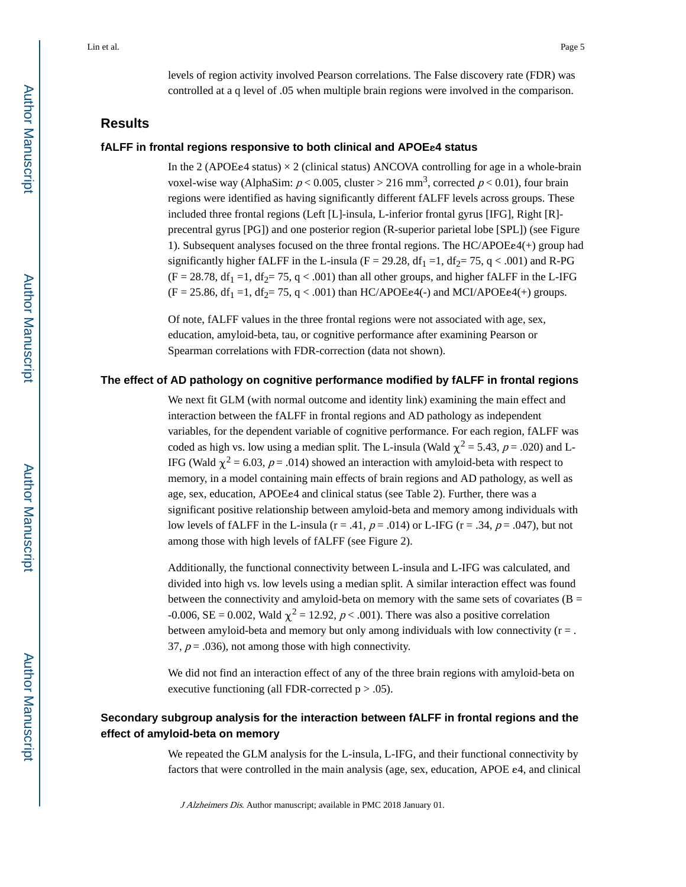levels of region activity involved Pearson correlations. The False discovery rate (FDR) was controlled at a q level of .05 when multiple brain regions were involved in the comparison.

# **Results**

## **fALFF in frontal regions responsive to both clinical and APOE**ε**4 status**

In the 2 (APOEe4 status)  $\times$  2 (clinical status) ANCOVA controlling for age in a whole-brain voxel-wise way (AlphaSim:  $p < 0.005$ , cluster > 216 mm<sup>3</sup>, corrected  $p < 0.01$ ), four brain regions were identified as having significantly different fALFF levels across groups. These included three frontal regions (Left [L]-insula, L-inferior frontal gyrus [IFG], Right [R] precentral gyrus [PG]) and one posterior region (R-superior parietal lobe [SPL]) (see Figure 1). Subsequent analyses focused on the three frontal regions. The HC/APOEε4(+) group had significantly higher fALFF in the L-insula (F = 29.28, df<sub>1</sub> = 1, df<sub>2</sub>= 75, q < .001) and R-PG  $(F = 28.78, df_1 = 1, df_2 = 75, q < .001)$  than all other groups, and higher fALFF in the L-IFG  $(F = 25.86, df_1 = 1, df_2 = 75, q < .001)$  than HC/APOEe4(-) and MCI/APOEe4(+) groups.

Of note, fALFF values in the three frontal regions were not associated with age, sex, education, amyloid-beta, tau, or cognitive performance after examining Pearson or Spearman correlations with FDR-correction (data not shown).

#### **The effect of AD pathology on cognitive performance modified by fALFF in frontal regions**

We next fit GLM (with normal outcome and identity link) examining the main effect and interaction between the fALFF in frontal regions and AD pathology as independent variables, for the dependent variable of cognitive performance. For each region, fALFF was coded as high vs. low using a median split. The L-insula (Wald  $\chi^2 = 5.43$ ,  $p = .020$ ) and L-IFG (Wald  $\chi^2$  = 6.03, p = .014) showed an interaction with amyloid-beta with respect to memory, in a model containing main effects of brain regions and AD pathology, as well as age, sex, education, APOEε4 and clinical status (see Table 2). Further, there was a significant positive relationship between amyloid-beta and memory among individuals with low levels of fALFF in the L-insula ( $r = .41$ ,  $p = .014$ ) or L-IFG ( $r = .34$ ,  $p = .047$ ), but not among those with high levels of fALFF (see Figure 2).

Additionally, the functional connectivity between L-insula and L-IFG was calculated, and divided into high vs. low levels using a median split. A similar interaction effect was found between the connectivity and amyloid-beta on memory with the same sets of covariates ( $B =$ -0.006, SE = 0.002, Wald  $\chi^2$  = 12.92, p < .001). There was also a positive correlation between amyloid-beta and memory but only among individuals with low connectivity  $(r = .$ 37,  $p = .036$ , not among those with high connectivity.

We did not find an interaction effect of any of the three brain regions with amyloid-beta on executive functioning (all FDR-corrected  $p > .05$ ).

# **Secondary subgroup analysis for the interaction between fALFF in frontal regions and the effect of amyloid-beta on memory**

We repeated the GLM analysis for the L-insula, L-IFG, and their functional connectivity by factors that were controlled in the main analysis (age, sex, education, APOE ε4, and clinical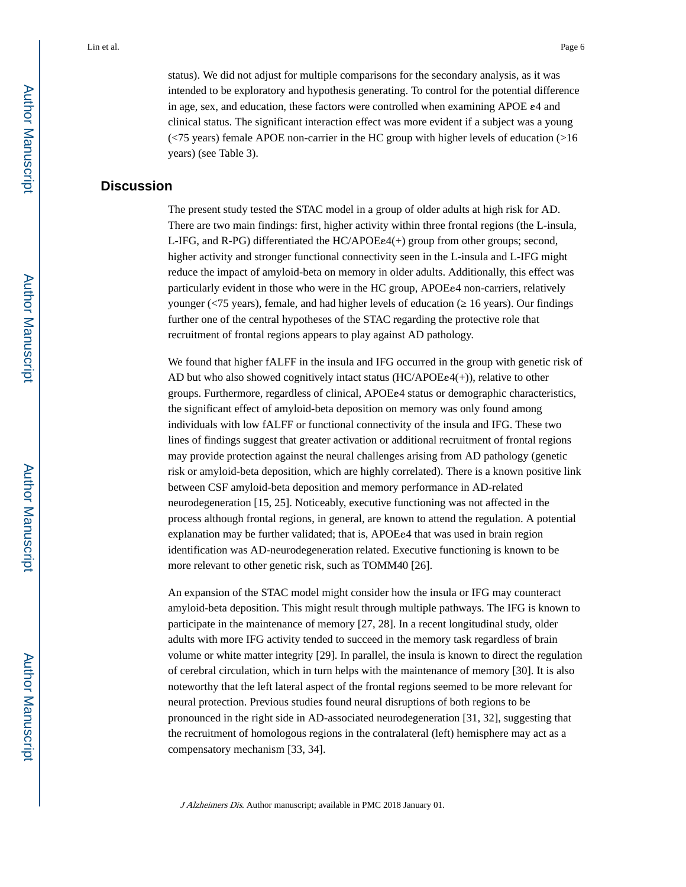status). We did not adjust for multiple comparisons for the secondary analysis, as it was intended to be exploratory and hypothesis generating. To control for the potential difference in age, sex, and education, these factors were controlled when examining APOE ε4 and clinical status. The significant interaction effect was more evident if a subject was a young (<75 years) female APOE non-carrier in the HC group with higher levels of education (>16 years) (see Table 3).

# **Discussion**

The present study tested the STAC model in a group of older adults at high risk for AD. There are two main findings: first, higher activity within three frontal regions (the L-insula, L-IFG, and R-PG) differentiated the HC/APOEε4(+) group from other groups; second, higher activity and stronger functional connectivity seen in the L-insula and L-IFG might reduce the impact of amyloid-beta on memory in older adults. Additionally, this effect was particularly evident in those who were in the HC group, APOEε4 non-carriers, relatively younger ( $\langle$ 75 years), female, and had higher levels of education ( $\angle$  16 years). Our findings further one of the central hypotheses of the STAC regarding the protective role that recruitment of frontal regions appears to play against AD pathology.

We found that higher fALFF in the insula and IFG occurred in the group with genetic risk of AD but who also showed cognitively intact status  $(HCAPOE\epsilon^{4}(+))$ , relative to other groups. Furthermore, regardless of clinical, APOEε4 status or demographic characteristics, the significant effect of amyloid-beta deposition on memory was only found among individuals with low fALFF or functional connectivity of the insula and IFG. These two lines of findings suggest that greater activation or additional recruitment of frontal regions may provide protection against the neural challenges arising from AD pathology (genetic risk or amyloid-beta deposition, which are highly correlated). There is a known positive link between CSF amyloid-beta deposition and memory performance in AD-related neurodegeneration [15, 25]. Noticeably, executive functioning was not affected in the process although frontal regions, in general, are known to attend the regulation. A potential explanation may be further validated; that is, APOEe4 that was used in brain region identification was AD-neurodegeneration related. Executive functioning is known to be more relevant to other genetic risk, such as TOMM40 [26].

An expansion of the STAC model might consider how the insula or IFG may counteract amyloid-beta deposition. This might result through multiple pathways. The IFG is known to participate in the maintenance of memory [27, 28]. In a recent longitudinal study, older adults with more IFG activity tended to succeed in the memory task regardless of brain volume or white matter integrity [29]. In parallel, the insula is known to direct the regulation of cerebral circulation, which in turn helps with the maintenance of memory [30]. It is also noteworthy that the left lateral aspect of the frontal regions seemed to be more relevant for neural protection. Previous studies found neural disruptions of both regions to be pronounced in the right side in AD-associated neurodegeneration [31, 32], suggesting that the recruitment of homologous regions in the contralateral (left) hemisphere may act as a compensatory mechanism [33, 34].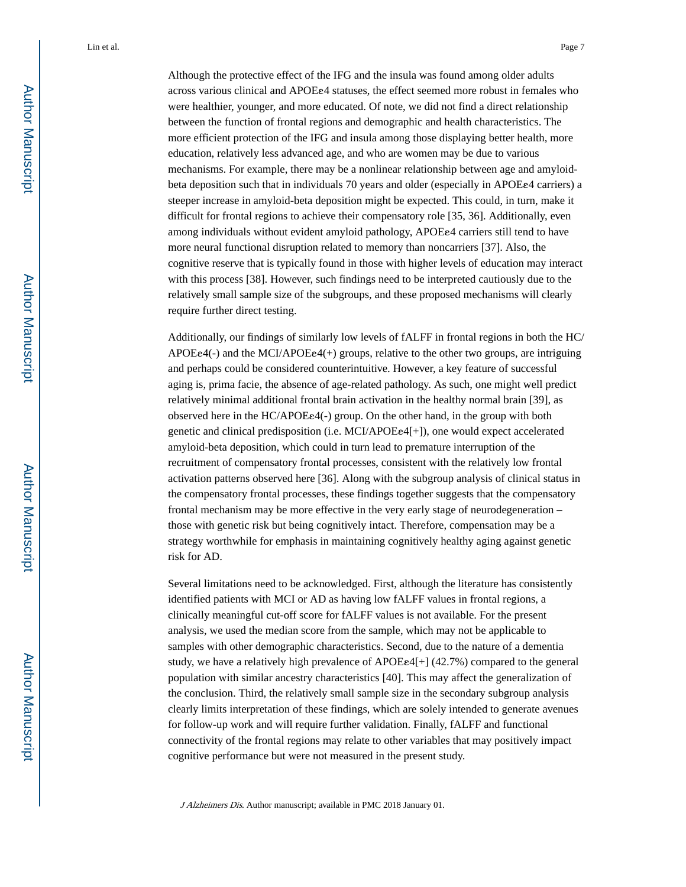Although the protective effect of the IFG and the insula was found among older adults across various clinical and APOEε4 statuses, the effect seemed more robust in females who were healthier, younger, and more educated. Of note, we did not find a direct relationship between the function of frontal regions and demographic and health characteristics. The more efficient protection of the IFG and insula among those displaying better health, more education, relatively less advanced age, and who are women may be due to various mechanisms. For example, there may be a nonlinear relationship between age and amyloidbeta deposition such that in individuals 70 years and older (especially in APOEε4 carriers) a steeper increase in amyloid-beta deposition might be expected. This could, in turn, make it difficult for frontal regions to achieve their compensatory role [35, 36]. Additionally, even among individuals without evident amyloid pathology, APOEε4 carriers still tend to have more neural functional disruption related to memory than noncarriers [37]. Also, the cognitive reserve that is typically found in those with higher levels of education may interact with this process [38]. However, such findings need to be interpreted cautiously due to the relatively small sample size of the subgroups, and these proposed mechanisms will clearly require further direct testing.

Additionally, our findings of similarly low levels of fALFF in frontal regions in both the HC/  $APOEe4(-)$  and the MCI/APOE $e4(+)$  groups, relative to the other two groups, are intriguing and perhaps could be considered counterintuitive. However, a key feature of successful aging is, prima facie, the absence of age-related pathology. As such, one might well predict relatively minimal additional frontal brain activation in the healthy normal brain [39], as observed here in the HC/APOEε4(-) group. On the other hand, in the group with both genetic and clinical predisposition (i.e. MCI/APOEε4[+]), one would expect accelerated amyloid-beta deposition, which could in turn lead to premature interruption of the recruitment of compensatory frontal processes, consistent with the relatively low frontal activation patterns observed here [36]. Along with the subgroup analysis of clinical status in the compensatory frontal processes, these findings together suggests that the compensatory frontal mechanism may be more effective in the very early stage of neurodegeneration – those with genetic risk but being cognitively intact. Therefore, compensation may be a strategy worthwhile for emphasis in maintaining cognitively healthy aging against genetic risk for AD.

Several limitations need to be acknowledged. First, although the literature has consistently identified patients with MCI or AD as having low fALFF values in frontal regions, a clinically meaningful cut-off score for fALFF values is not available. For the present analysis, we used the median score from the sample, which may not be applicable to samples with other demographic characteristics. Second, due to the nature of a dementia study, we have a relatively high prevalence of APOEε4[+] (42.7%) compared to the general population with similar ancestry characteristics [40]. This may affect the generalization of the conclusion. Third, the relatively small sample size in the secondary subgroup analysis clearly limits interpretation of these findings, which are solely intended to generate avenues for follow-up work and will require further validation. Finally, fALFF and functional connectivity of the frontal regions may relate to other variables that may positively impact cognitive performance but were not measured in the present study.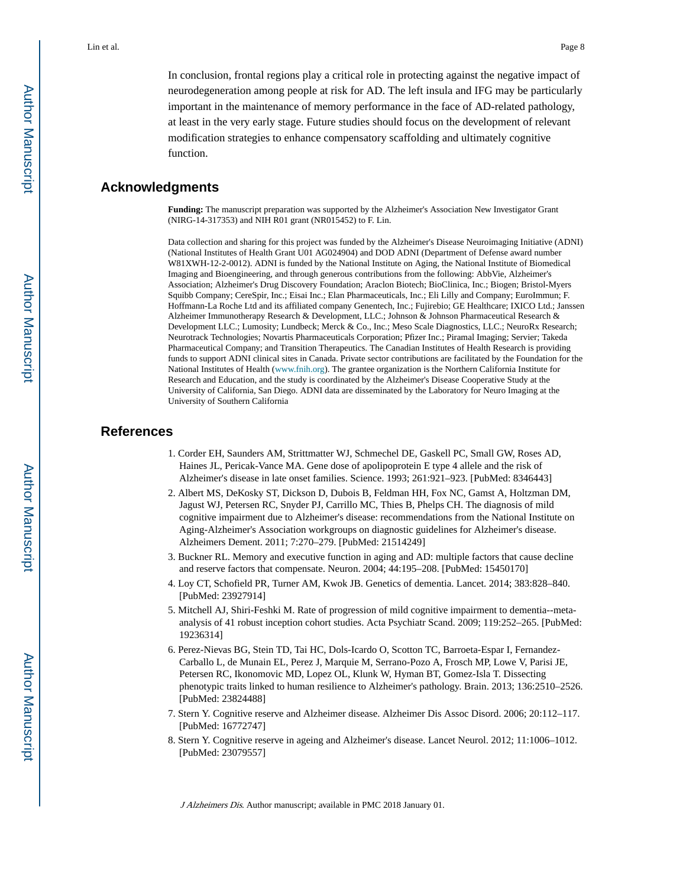In conclusion, frontal regions play a critical role in protecting against the negative impact of neurodegeneration among people at risk for AD. The left insula and IFG may be particularly important in the maintenance of memory performance in the face of AD-related pathology, at least in the very early stage. Future studies should focus on the development of relevant modification strategies to enhance compensatory scaffolding and ultimately cognitive function.

## **Acknowledgments**

**Funding:** The manuscript preparation was supported by the Alzheimer's Association New Investigator Grant (NIRG-14-317353) and NIH R01 grant (NR015452) to F. Lin.

Data collection and sharing for this project was funded by the Alzheimer's Disease Neuroimaging Initiative (ADNI) (National Institutes of Health Grant U01 AG024904) and DOD ADNI (Department of Defense award number W81XWH-12-2-0012). ADNI is funded by the National Institute on Aging, the National Institute of Biomedical Imaging and Bioengineering, and through generous contributions from the following: AbbVie, Alzheimer's Association; Alzheimer's Drug Discovery Foundation; Araclon Biotech; BioClinica, Inc.; Biogen; Bristol-Myers Squibb Company; CereSpir, Inc.; Eisai Inc.; Elan Pharmaceuticals, Inc.; Eli Lilly and Company; EuroImmun; F. Hoffmann-La Roche Ltd and its affiliated company Genentech, Inc.; Fujirebio; GE Healthcare; IXICO Ltd.; Janssen Alzheimer Immunotherapy Research & Development, LLC.; Johnson & Johnson Pharmaceutical Research & Development LLC.; Lumosity; Lundbeck; Merck & Co., Inc.; Meso Scale Diagnostics, LLC.; NeuroRx Research; Neurotrack Technologies; Novartis Pharmaceuticals Corporation; Pfizer Inc.; Piramal Imaging; Servier; Takeda Pharmaceutical Company; and Transition Therapeutics. The Canadian Institutes of Health Research is providing funds to support ADNI clinical sites in Canada. Private sector contributions are facilitated by the Foundation for the National Institutes of Health ([www.fnih.org\)](http://www.fnih.org). The grantee organization is the Northern California Institute for Research and Education, and the study is coordinated by the Alzheimer's Disease Cooperative Study at the University of California, San Diego. ADNI data are disseminated by the Laboratory for Neuro Imaging at the University of Southern California

## **References**

- 1. Corder EH, Saunders AM, Strittmatter WJ, Schmechel DE, Gaskell PC, Small GW, Roses AD, Haines JL, Pericak-Vance MA. Gene dose of apolipoprotein E type 4 allele and the risk of Alzheimer's disease in late onset families. Science. 1993; 261:921–923. [PubMed: 8346443]
- 2. Albert MS, DeKosky ST, Dickson D, Dubois B, Feldman HH, Fox NC, Gamst A, Holtzman DM, Jagust WJ, Petersen RC, Snyder PJ, Carrillo MC, Thies B, Phelps CH. The diagnosis of mild cognitive impairment due to Alzheimer's disease: recommendations from the National Institute on Aging-Alzheimer's Association workgroups on diagnostic guidelines for Alzheimer's disease. Alzheimers Dement. 2011; 7:270–279. [PubMed: 21514249]
- 3. Buckner RL. Memory and executive function in aging and AD: multiple factors that cause decline and reserve factors that compensate. Neuron. 2004; 44:195–208. [PubMed: 15450170]
- 4. Loy CT, Schofield PR, Turner AM, Kwok JB. Genetics of dementia. Lancet. 2014; 383:828–840. [PubMed: 23927914]
- 5. Mitchell AJ, Shiri-Feshki M. Rate of progression of mild cognitive impairment to dementia--metaanalysis of 41 robust inception cohort studies. Acta Psychiatr Scand. 2009; 119:252–265. [PubMed: 19236314]
- 6. Perez-Nievas BG, Stein TD, Tai HC, Dols-Icardo O, Scotton TC, Barroeta-Espar I, Fernandez-Carballo L, de Munain EL, Perez J, Marquie M, Serrano-Pozo A, Frosch MP, Lowe V, Parisi JE, Petersen RC, Ikonomovic MD, Lopez OL, Klunk W, Hyman BT, Gomez-Isla T. Dissecting phenotypic traits linked to human resilience to Alzheimer's pathology. Brain. 2013; 136:2510–2526. [PubMed: 23824488]
- 7. Stern Y. Cognitive reserve and Alzheimer disease. Alzheimer Dis Assoc Disord. 2006; 20:112–117. [PubMed: 16772747]
- 8. Stern Y. Cognitive reserve in ageing and Alzheimer's disease. Lancet Neurol. 2012; 11:1006–1012. [PubMed: 23079557]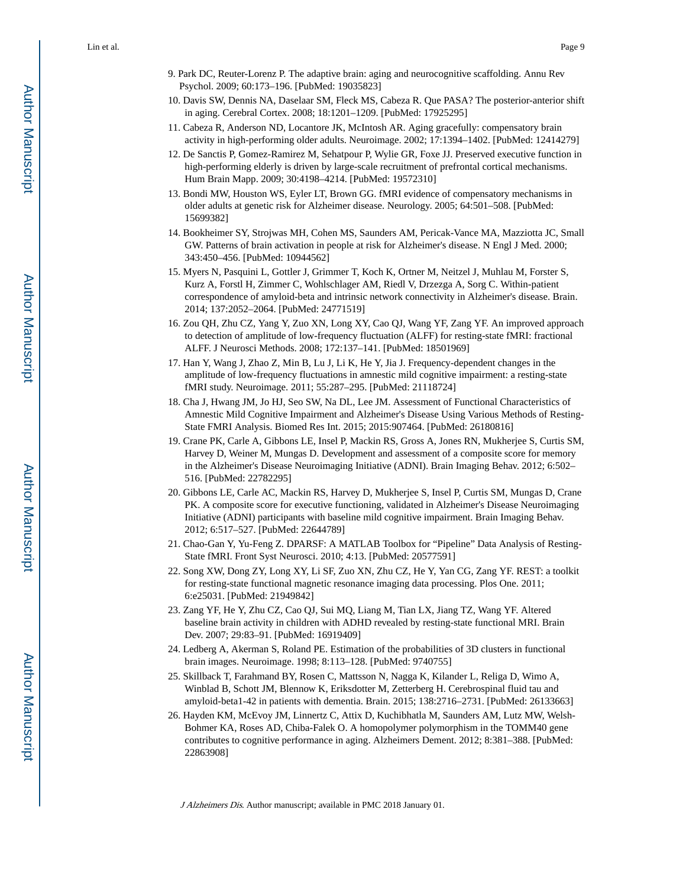- 9. Park DC, Reuter-Lorenz P. The adaptive brain: aging and neurocognitive scaffolding. Annu Rev Psychol. 2009; 60:173–196. [PubMed: 19035823]
- 10. Davis SW, Dennis NA, Daselaar SM, Fleck MS, Cabeza R. Que PASA? The posterior-anterior shift in aging. Cerebral Cortex. 2008; 18:1201–1209. [PubMed: 17925295]
- 11. Cabeza R, Anderson ND, Locantore JK, McIntosh AR. Aging gracefully: compensatory brain activity in high-performing older adults. Neuroimage. 2002; 17:1394–1402. [PubMed: 12414279]
- 12. De Sanctis P, Gomez-Ramirez M, Sehatpour P, Wylie GR, Foxe JJ. Preserved executive function in high-performing elderly is driven by large-scale recruitment of prefrontal cortical mechanisms. Hum Brain Mapp. 2009; 30:4198–4214. [PubMed: 19572310]
- 13. Bondi MW, Houston WS, Eyler LT, Brown GG. fMRI evidence of compensatory mechanisms in older adults at genetic risk for Alzheimer disease. Neurology. 2005; 64:501–508. [PubMed: 15699382]
- 14. Bookheimer SY, Strojwas MH, Cohen MS, Saunders AM, Pericak-Vance MA, Mazziotta JC, Small GW. Patterns of brain activation in people at risk for Alzheimer's disease. N Engl J Med. 2000; 343:450–456. [PubMed: 10944562]
- 15. Myers N, Pasquini L, Gottler J, Grimmer T, Koch K, Ortner M, Neitzel J, Muhlau M, Forster S, Kurz A, Forstl H, Zimmer C, Wohlschlager AM, Riedl V, Drzezga A, Sorg C. Within-patient correspondence of amyloid-beta and intrinsic network connectivity in Alzheimer's disease. Brain. 2014; 137:2052–2064. [PubMed: 24771519]
- 16. Zou QH, Zhu CZ, Yang Y, Zuo XN, Long XY, Cao QJ, Wang YF, Zang YF. An improved approach to detection of amplitude of low-frequency fluctuation (ALFF) for resting-state fMRI: fractional ALFF. J Neurosci Methods. 2008; 172:137–141. [PubMed: 18501969]
- 17. Han Y, Wang J, Zhao Z, Min B, Lu J, Li K, He Y, Jia J. Frequency-dependent changes in the amplitude of low-frequency fluctuations in amnestic mild cognitive impairment: a resting-state fMRI study. Neuroimage. 2011; 55:287–295. [PubMed: 21118724]
- 18. Cha J, Hwang JM, Jo HJ, Seo SW, Na DL, Lee JM. Assessment of Functional Characteristics of Amnestic Mild Cognitive Impairment and Alzheimer's Disease Using Various Methods of Resting-State FMRI Analysis. Biomed Res Int. 2015; 2015:907464. [PubMed: 26180816]
- 19. Crane PK, Carle A, Gibbons LE, Insel P, Mackin RS, Gross A, Jones RN, Mukherjee S, Curtis SM, Harvey D, Weiner M, Mungas D. Development and assessment of a composite score for memory in the Alzheimer's Disease Neuroimaging Initiative (ADNI). Brain Imaging Behav. 2012; 6:502– 516. [PubMed: 22782295]
- 20. Gibbons LE, Carle AC, Mackin RS, Harvey D, Mukherjee S, Insel P, Curtis SM, Mungas D, Crane PK. A composite score for executive functioning, validated in Alzheimer's Disease Neuroimaging Initiative (ADNI) participants with baseline mild cognitive impairment. Brain Imaging Behav. 2012; 6:517–527. [PubMed: 22644789]
- 21. Chao-Gan Y, Yu-Feng Z. DPARSF: A MATLAB Toolbox for "Pipeline" Data Analysis of Resting-State fMRI. Front Syst Neurosci. 2010; 4:13. [PubMed: 20577591]
- 22. Song XW, Dong ZY, Long XY, Li SF, Zuo XN, Zhu CZ, He Y, Yan CG, Zang YF. REST: a toolkit for resting-state functional magnetic resonance imaging data processing. Plos One. 2011; 6:e25031. [PubMed: 21949842]
- 23. Zang YF, He Y, Zhu CZ, Cao QJ, Sui MQ, Liang M, Tian LX, Jiang TZ, Wang YF. Altered baseline brain activity in children with ADHD revealed by resting-state functional MRI. Brain Dev. 2007; 29:83–91. [PubMed: 16919409]
- 24. Ledberg A, Akerman S, Roland PE. Estimation of the probabilities of 3D clusters in functional brain images. Neuroimage. 1998; 8:113–128. [PubMed: 9740755]
- 25. Skillback T, Farahmand BY, Rosen C, Mattsson N, Nagga K, Kilander L, Religa D, Wimo A, Winblad B, Schott JM, Blennow K, Eriksdotter M, Zetterberg H. Cerebrospinal fluid tau and amyloid-beta1-42 in patients with dementia. Brain. 2015; 138:2716–2731. [PubMed: 26133663]
- 26. Hayden KM, McEvoy JM, Linnertz C, Attix D, Kuchibhatla M, Saunders AM, Lutz MW, Welsh-Bohmer KA, Roses AD, Chiba-Falek O. A homopolymer polymorphism in the TOMM40 gene contributes to cognitive performance in aging. Alzheimers Dement. 2012; 8:381–388. [PubMed: 22863908]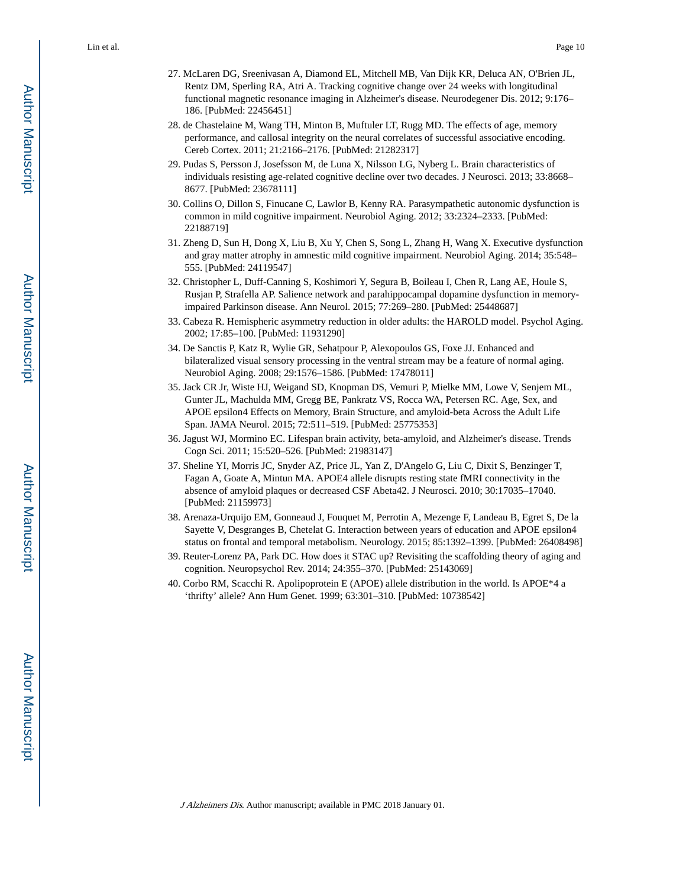- 27. McLaren DG, Sreenivasan A, Diamond EL, Mitchell MB, Van Dijk KR, Deluca AN, O'Brien JL, Rentz DM, Sperling RA, Atri A. Tracking cognitive change over 24 weeks with longitudinal functional magnetic resonance imaging in Alzheimer's disease. Neurodegener Dis. 2012; 9:176– 186. [PubMed: 22456451]
- 28. de Chastelaine M, Wang TH, Minton B, Muftuler LT, Rugg MD. The effects of age, memory performance, and callosal integrity on the neural correlates of successful associative encoding. Cereb Cortex. 2011; 21:2166–2176. [PubMed: 21282317]
- 29. Pudas S, Persson J, Josefsson M, de Luna X, Nilsson LG, Nyberg L. Brain characteristics of individuals resisting age-related cognitive decline over two decades. J Neurosci. 2013; 33:8668– 8677. [PubMed: 23678111]
- 30. Collins O, Dillon S, Finucane C, Lawlor B, Kenny RA. Parasympathetic autonomic dysfunction is common in mild cognitive impairment. Neurobiol Aging. 2012; 33:2324–2333. [PubMed: 22188719]
- 31. Zheng D, Sun H, Dong X, Liu B, Xu Y, Chen S, Song L, Zhang H, Wang X. Executive dysfunction and gray matter atrophy in amnestic mild cognitive impairment. Neurobiol Aging. 2014; 35:548– 555. [PubMed: 24119547]
- 32. Christopher L, Duff-Canning S, Koshimori Y, Segura B, Boileau I, Chen R, Lang AE, Houle S, Rusjan P, Strafella AP. Salience network and parahippocampal dopamine dysfunction in memoryimpaired Parkinson disease. Ann Neurol. 2015; 77:269–280. [PubMed: 25448687]
- 33. Cabeza R. Hemispheric asymmetry reduction in older adults: the HAROLD model. Psychol Aging. 2002; 17:85–100. [PubMed: 11931290]
- 34. De Sanctis P, Katz R, Wylie GR, Sehatpour P, Alexopoulos GS, Foxe JJ. Enhanced and bilateralized visual sensory processing in the ventral stream may be a feature of normal aging. Neurobiol Aging. 2008; 29:1576–1586. [PubMed: 17478011]
- 35. Jack CR Jr, Wiste HJ, Weigand SD, Knopman DS, Vemuri P, Mielke MM, Lowe V, Senjem ML, Gunter JL, Machulda MM, Gregg BE, Pankratz VS, Rocca WA, Petersen RC. Age, Sex, and APOE epsilon4 Effects on Memory, Brain Structure, and amyloid-beta Across the Adult Life Span. JAMA Neurol. 2015; 72:511–519. [PubMed: 25775353]
- 36. Jagust WJ, Mormino EC. Lifespan brain activity, beta-amyloid, and Alzheimer's disease. Trends Cogn Sci. 2011; 15:520–526. [PubMed: 21983147]
- 37. Sheline YI, Morris JC, Snyder AZ, Price JL, Yan Z, D'Angelo G, Liu C, Dixit S, Benzinger T, Fagan A, Goate A, Mintun MA. APOE4 allele disrupts resting state fMRI connectivity in the absence of amyloid plaques or decreased CSF Abeta42. J Neurosci. 2010; 30:17035–17040. [PubMed: 21159973]
- 38. Arenaza-Urquijo EM, Gonneaud J, Fouquet M, Perrotin A, Mezenge F, Landeau B, Egret S, De la Sayette V, Desgranges B, Chetelat G. Interaction between years of education and APOE epsilon4 status on frontal and temporal metabolism. Neurology. 2015; 85:1392–1399. [PubMed: 26408498]
- 39. Reuter-Lorenz PA, Park DC. How does it STAC up? Revisiting the scaffolding theory of aging and cognition. Neuropsychol Rev. 2014; 24:355–370. [PubMed: 25143069]
- 40. Corbo RM, Scacchi R. Apolipoprotein E (APOE) allele distribution in the world. Is APOE\*4 a 'thrifty' allele? Ann Hum Genet. 1999; 63:301–310. [PubMed: 10738542]

Author Manuscript

Author Manuscript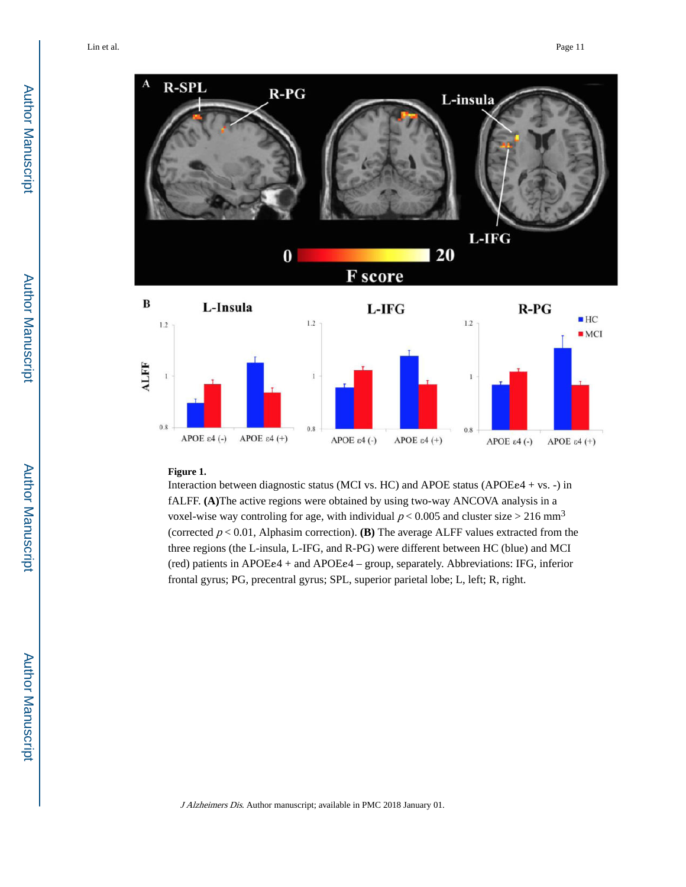

#### **Figure 1.**

APOE  $\varepsilon$ 4 $(-)$ 

APOE  $\varepsilon$ 4 (+)

Interaction between diagnostic status (MCI vs. HC) and APOE status (APOEε4 + vs. -) in fALFF. **(A)**The active regions were obtained by using two-way ANCOVA analysis in a voxel-wise way controling for age, with individual  $p < 0.005$  and cluster size  $> 216$  mm<sup>3</sup> (corrected  $p < 0.01$ , Alphasim correction). **(B)** The average ALFF values extracted from the three regions (the L-insula, L-IFG, and R-PG) were different between HC (blue) and MCI (red) patients in APOEε4 + and APOEε4 – group, separately. Abbreviations: IFG, inferior frontal gyrus; PG, precentral gyrus; SPL, superior parietal lobe; L, left; R, right.

APOE  $\varepsilon$ 4 (+)

APOE  $\varepsilon$ 4 $(-)$ 

APOE  $\varepsilon$ 4 $(+)$ 

APOE  $\varepsilon$ 4 $(-)$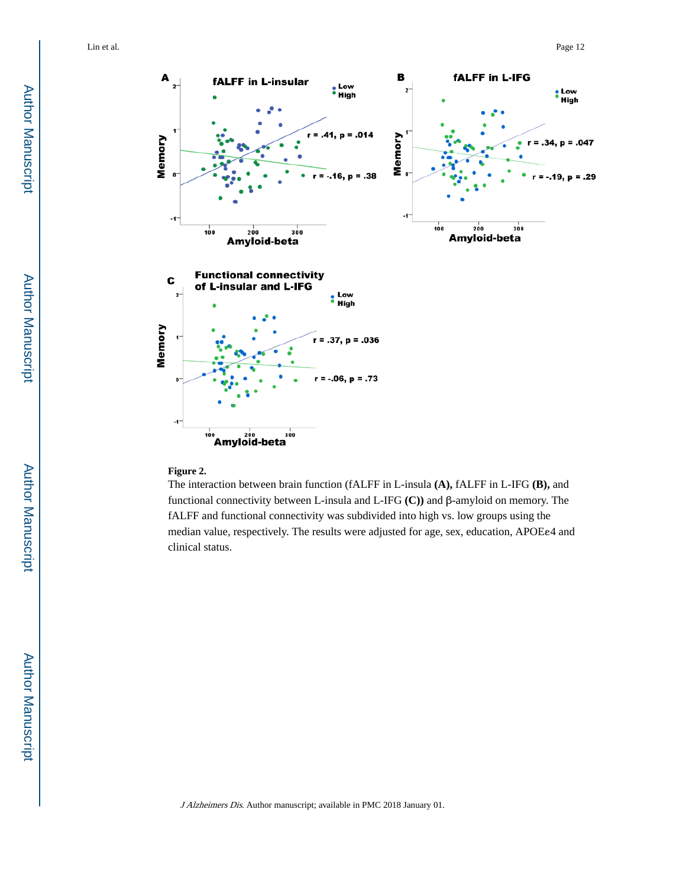

#### **Figure 2.**

The interaction between brain function (fALFF in L-insula **(A),** fALFF in L-IFG **(B),** and functional connectivity between L-insula and L-IFG **(C))** and β-amyloid on memory. The fALFF and functional connectivity was subdivided into high vs. low groups using the median value, respectively. The results were adjusted for age, sex, education, APOEε4 and clinical status.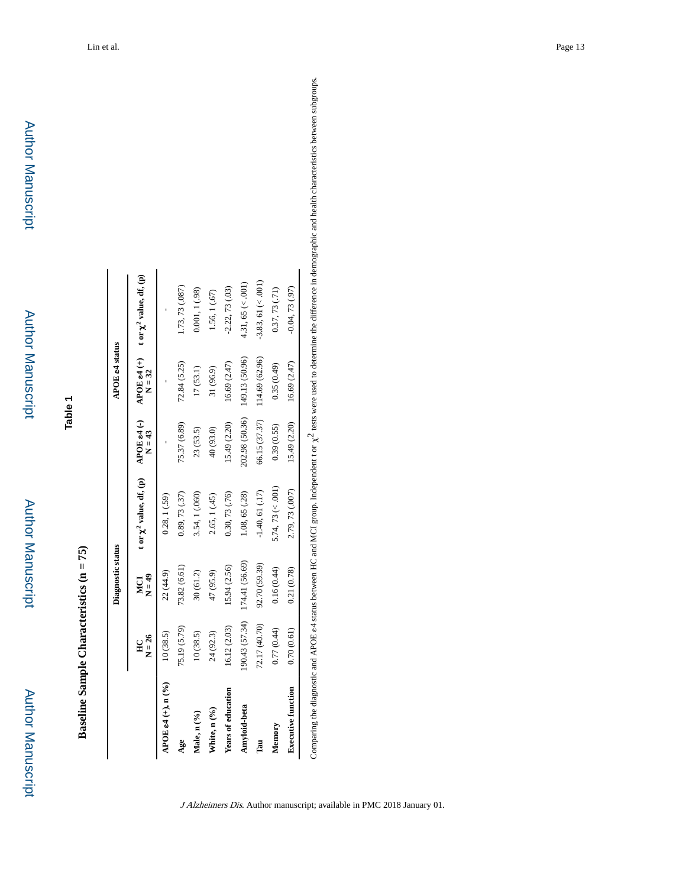Baseline Sample Characteristics ( $n = 75$ ) **Baseline Sample Characteristics (n = 75)**

**Table 1**

|                              |                | Diagnostic status |                                                                                   |                | APOE e4 status |                         |
|------------------------------|----------------|-------------------|-----------------------------------------------------------------------------------|----------------|----------------|-------------------------|
|                              | $N = 26$<br>E  | $N = 49$<br>MCI   | t or $\chi^2$ value, df, (p) APOE e4 (-) APOE e4 (+) t or $\chi^2$ value, df, (p) | $N = 43$       | $N = 32$       |                         |
| APOE e4 $(+)$ , n $(^{9/6})$ | 10(38.5)       | 22 (44.9)         | 0.28, 1(.59)                                                                      |                |                |                         |
| Age                          | 75.19 (5.79)   | 73.82 (6.61)      | 0.89, 73(0.37)                                                                    | 75.37 (6.89)   | 72.84 (5.25)   | 1.73, 73 (.087)         |
| Male, n (%)                  | 10(38.5)       | 30(61.2)          | 3.54, 1 (.060)                                                                    | 23(53.5)       | 17(53.1)       | 0.001, 1(.98)           |
| White, n (%)                 | 24 (92.3)      | 47 (95.9)         | 2.65, 1(.45)                                                                      | 40 (93.0)      | 31 (96.9)      | 1.56, 1 (.67)           |
| <b>Years of education</b>    | 16.12 (2.03)   | 15.94 (2.56)      | 0.30, 73 (.76)                                                                    | 15.49 (2.20)   | 16.69 (2.47)   | $-2.22, 73(03)$         |
| Amyloid-beta                 | (90.43 (57.34) | 174.41 (56.69)    | 1.08, 65(.28)                                                                     | 202.98 (50.36) | 149.13 (50.96) | $4.31, 65 \approx 0.01$ |
| Eau<br>C                     | 72.17 (40.70)  | 92.70 (59.39)     | $-1.40, 61$ $(.17)$                                                               | 66.15 (37.37)  | 114.69 (62.96) | $-3.83, 61 (< 001)$     |
| Memory                       | 0.77(0.44)     | 0.16(0.44)        | $5.74, 73 \approx 0.001$                                                          | 0.39(0.55)     | 0.35(0.49)     | 0.37, 73(71)            |
| <b>Executive function</b>    | 0.70(0.61)     | 0.21(0.78)        | 2.79, 73 (.007)                                                                   | 15.49 (2.20)   | 16.69(2.47)    | $-0.04, 73(0.97)$       |

Comparing the diagnostic and APOE e4 status between HC and MCI group. Independent t or  $\chi^2$  tests were used to determine the difference in demographic and health characteristics between subgroups. Comparing the diagnostic and APOE e4 status between HC and MCI group. Independent t or  $\chi^2$  tests were used to determine the difference in demographic and health characteristics between subgroups.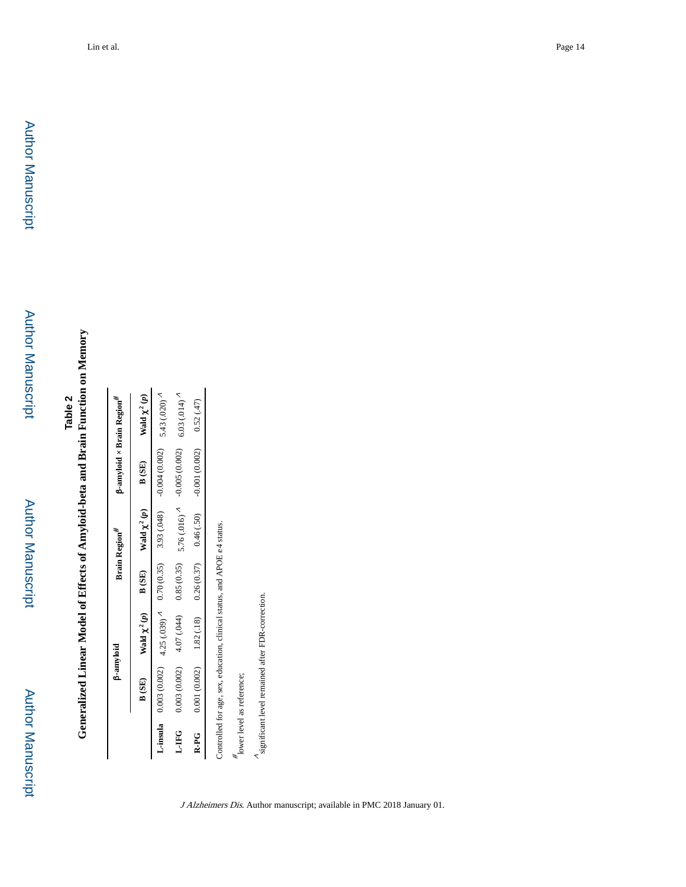# **Generalized Linear Model of Effects of Amyloid-beta and Brain Function on Memory Generalized Linear Model of Effects of Amyloid-beta and Brain Function on Memory**

|              | <b>B-amyloid</b>                                                         |                         |            | Brain Region <sup>#</sup>                             | <b>B-amyloid × Brain Region</b> #    |                                               |
|--------------|--------------------------------------------------------------------------|-------------------------|------------|-------------------------------------------------------|--------------------------------------|-----------------------------------------------|
|              | B(SE)                                                                    | Wald $\chi^2(p)$ B (SE) |            | Wald $\chi^2(p)$                                      | B (SE)                               | Wald $\chi^2(p)$                              |
|              | <b>L</b> -insula 0.000(0.000(0.000) 4.25 (0.35) 4.25 (0.35) 3.93 (.048)  |                         |            |                                                       | $-0.004(0.002)$ 5.43 (.020) ^        |                                               |
| <b>L-IFG</b> | 0.003(0.002)                                                             | 4.07 (.044)             | 0.85(0.35) |                                                       | 5.76 (.016) $\lambda$ -0.005 (0.002) | $6.03(0.014)$ <sup><math>\Lambda</math></sup> |
| $R - P G$    |                                                                          |                         |            | $(0.001(0.002)$ $(1.82(18)$ $0.26(0.37)$ $0.46(0.50)$ | $-0.001(0.002)$ 0.52 (.47)           |                                               |
|              | Controlled for age, sex, education, clinical status, and APOE e4 status. |                         |            |                                                       |                                      |                                               |
|              | $\frac{\pi}{2}$ lower level as reference;                                |                         |            |                                                       |                                      |                                               |

∧ significant level remained after FDR-correction.